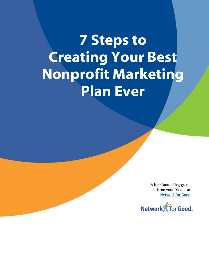# **7 Steps to Creating Your Best Nonprofit Marketing Plan Ever**

A free fundraising guide from your friends at [Network for Good](http://www1.networkforgood.org/partner)

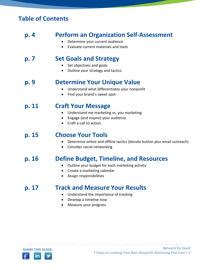## **Table of Contents**

## **p. 4 Perform an Organization Self-Assessment**

- Determine your current audience
- Evaluate current materials and tools

## **p. 7 Set Goals and Strategy**

- Set objectives and goals
- Outline your strategy and tactics

## **p. 9 Determine Your Unique Value**

- Understand what differentiates your nonprofit
- Find your brand's sweet spot

## **p. 11 Craft Your Message**

- Understand me marketing vs. you marketing
- Engage (and inspire) your audience
- Craft a call to action

## **p. 15 Choose Your Tools**

- Determine online and offline tactics (donate button plus email outreach)
- Consider social networking

## **p. 16 Define Budget, Timeline, and Resources**

Outline your budget for each marketing activity

• • • • • • • • • • • • • • • • • • • • • • • • • • • • • • • • • • • • • • • • • • • • • • • • • • • • • • • • • • •

- Create a marketing calendar
- Assign responsibilities

## **p. 17 Track and Measure Your Results**

- Understand the importance of tracking
- Develop a timeline now
- Measure your progress

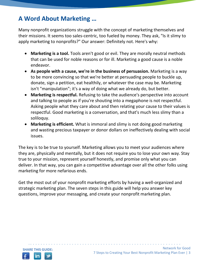# **A Word About Marketing …**

Many nonprofit organizations struggle with the concept of marketing themselves and their missions. It seems too sales-centric, too fueled by money. They ask, "Is it slimy to apply marketing to nonprofits?" Our answer: Definitely not. Here's why:

- **Marketing is a tool.** Tools aren't good or evil. They are morally neutral methods that can be used for noble reasons or for ill. Marketing a good cause is a noble endeavor.
- **As people with a cause, we're in the business of persuasion.** Marketing is a way to be more convincing so that we're better at persuading people to buckle up, donate, sign a petition, eat healthily, or whatever the case may be. Marketing isn't "manipulation"; it's a way of doing what we already do, but better.
- **Marketing is respectful.** Refusing to take the audience's perspective into account and talking to people as if you're shouting into a megaphone is not respectful. Asking people what they care about and then relating your cause to their values is respectful. Good marketing is a conversation, and that's much less slimy than a soliloquy.
- **Marketing is efficient.** What is immoral and slimy is not doing good marketing and wasting precious taxpayer or donor dollars on ineffectively dealing with social issues.

The key is to be true to yourself. Marketing allows you to meet your audiences where they are, physically and mentally, but it does not require you to lose your own way. Stay true to your mission, represent yourself honestly, and promise only what you can deliver. In that way, you can gain a competitive advantage over all the other folks using marketing for more nefarious ends.

Get the most out of your nonprofit marketing efforts by having a well-organized and strategic marketing plan. The seven steps in this guide will help you answer key questions, improve your messaging, and create your nonprofit marketing plan.

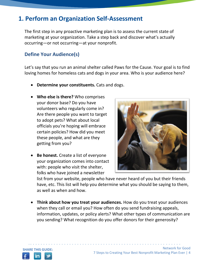# **1. Perform an Organization Self-Assessment**

The first step in any proactive marketing plan is to assess the current state of marketing at your organization. Take a step back and discover what's actually occurring—or not occurring—at your nonprofit.

#### **Define Your Audience(s)**

Let's say that you run an animal shelter called Paws for the Cause. Your goal is to find loving homes for homeless cats and dogs in your area. Who is your audience here?

- **Determine your constituents.** Cats and dogs.
- **Who else is there?** Who comprises your donor base? Do you have volunteers who regularly come in? Are there people you want to target to adopt pets? What about local officials you're hoping will embrace certain policies? How did you meet these people, and what are they getting from you?
- **Be honest.** Create a list of everyone your organization comes into contact with: people who visit the shelter, folks who have joined a newsletter



list from your website, people who have never heard of you but their friends have, etc. This list will help you determine what you should be saying to them, as well as when and how.

 **Think about how you treat your audiences.** How do you treat your audiences when they call or email you? How often do you send fundraising appeals, information, updates, or policy alerts? What other types of communication are you sending? What recognition do you offer donors for their generosity?

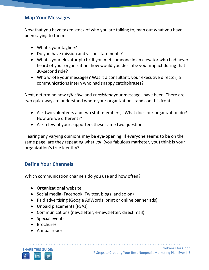#### **Map Your Messages**

Now that you have taken stock of who you are talking to, map out what you have been saying to them:

- What's your tagline?
- Do you have mission and vision statements?
- What's your elevator pitch? If you met someone in an elevator who had never heard of your organization, how would you describe your impact during that 30-second ride?
- Who wrote your messages? Was it a consultant, your executive director, a communications intern who had snappy catchphrases?

Next, determine how *effective* and *consistent* your messages have been. There are two quick ways to understand where your organization stands on this front:

- Ask two volunteers and two staff members, "What does our organization do? How are we different?"
- Ask a few of your supporters these same two questions.

Hearing any varying opinions may be eye-opening. If everyone seems to be on the same page, are they repeating what *you* (you fabulous marketer, you) think is your organization's true identity?

#### **Define Your Channels**

Which communication channels do you use and how often?

- Organizational website
- Social media (Facebook, Twitter, blogs, and so on)
- Paid advertising (Google AdWords, print or online banner ads)

- Unpaid placements (PSAs)
- Communications (newsletter, e-newsletter, direct mail)
- Special events
- Brochures
- Annual report

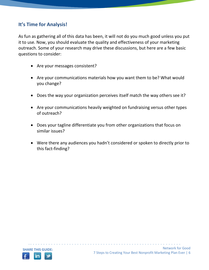## **It's Time for Analysis!**

As fun as gathering all of this data has been, it will not do you much good unless you put it to use. Now, you should evaluate the quality and effectiveness of your marketing outreach. Some of your research may drive these discussions, but here are a few basic questions to consider:

- Are your messages consistent?
- Are your communications materials how you want them to be? What would you change?
- Does the way your organization perceives itself match the way others see it?
- Are your communications heavily weighted on fundraising versus other types of outreach?
- Does your tagline differentiate you from other organizations that focus on similar issues?

• • • • • • • • • • • • • • • • • • • • • • • • • • • • • • • • • • • • • • • • • • • • • • • • • • • • • • • • • • •

 Were there any audiences you hadn't considered or spoken to directly prior to this fact-finding?

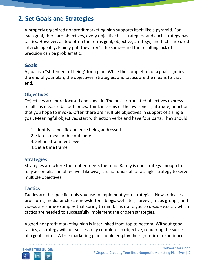# **2. Set Goals and Strategies**

A properly organized nonprofit marketing plan supports itself like a pyramid. For each goal, there are objectives, every objective has strategies, and each strategy has tactics. However, all too often the terms goal, objective, strategy, and tactic are used interchangeably. Plainly put, they aren't the same—and the resulting lack of precision can be problematic.

#### **Goals**

A goal is a "statement of being" for a plan. While the completion of a goal signifies the end of your plan, the objectives, strategies, and tactics are the means to that end.

## **Objectives**

Objectives are more focused and specific. The best-formulated objectives express results as measurable outcomes. Think in terms of the awareness, attitude, or action that you hope to invoke. Often there are multiple objectives in support of a single goal. Meaningful objectives start with action verbs and have four parts. They should:

- 1. Identify a specific audience being addressed.
- 2. State a measurable outcome.
- 3. Set an attainment level.
- 4. Set a time frame.

## **Strategies**

Strategies are where the rubber meets the road. Rarely is one strategy enough to fully accomplish an objective. Likewise, it is not unusual for a single strategy to serve multiple objectives.

## **Tactics**

Tactics are the specific tools you use to implement your strategies. News releases, brochures, media pitches, e-newsletters, blogs, websites, surveys, focus groups, and videos are some examples that spring to mind. It is up to you to decide exactly which tactics are needed to successfully implement the chosen strategies.

A good nonprofit marketing plan is interlinked from top to bottom. Without good tactics, a strategy will not successfully complete an objective, rendering the success of a goal limited. A true marketing plan should employ the right mix of experience

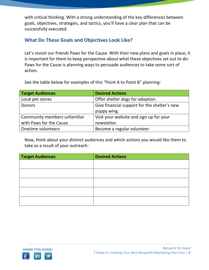with critical thinking. With a strong understanding of the key differences between goals, objectives, strategies, and tactics, you'll have a clear plan that can be successfully executed.

## **What Do These Goals and Objectives Look Like?**

Let's revisit our friends Paws for the Cause. With their new plans and goals in place, it is important for them to keep perspective about what these objectives set out to do: Paws for the Cause is planning ways to persuade audiences to take some sort of action.

See the table below for examples of this "Point A to Point B" planning:

| <b>Target Audiences</b>      | <b>Desired Actions</b>                       |
|------------------------------|----------------------------------------------|
| Local pet stores             | Offer shelter dogs for adoption.             |
| <b>Donors</b>                | Give financial support for the shelter's new |
|                              | puppy wing.                                  |
| Community members unfamiliar | Visit your website and sign up for your      |
| with Paws for the Cause      | newsletter.                                  |
| Onetime volunteers           | Become a regular volunteer.                  |

Now, think about your distinct audiences and which actions you would like them to take as a result of your outreach:

| <b>Target Audiences</b> | <b>Desired Actions</b> |
|-------------------------|------------------------|
|                         |                        |
|                         |                        |
|                         |                        |
|                         |                        |
|                         |                        |
|                         |                        |
|                         |                        |
|                         |                        |

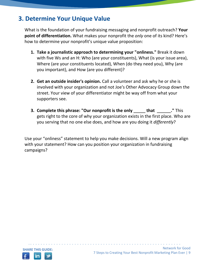# **3. Determine Your Unique Value**

What is the foundation of your fundraising messaging and nonprofit outreach? **Your point of differentiation.** What makes your nonprofit the *only* one of its kind? Here's how to determine your nonprofit's unique value proposition:

- **1. Take a journalistic approach to determining your "onliness."** Break it down with five Ws and an H: Who (are your constituents), What (is your issue area), Where (are your constituents located), When (do they need you), Why (are you important), and How (are you different)?
- **2. Get an outside insider's opinion.** Call a volunteer and ask why he or she is involved with your organization and not Joe's Other Advocacy Group down the street. Your view of your differentiator might be way off from what your supporters see.
- **3. Complete this phrase: "Our nonprofit is the only that ."** This gets right to the core of why your organization exists in the first place. Who are you serving that no one else does, and how are you doing it *differently*?

Use your "onliness" statement to help you make decisions. Will a new program align with your statement? How can you position your organization in fundraising campaigns?

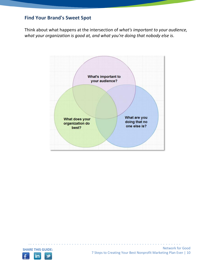#### **Find Your Brand's Sweet Spot**

Think about what happens at the intersection of *what's important to your audience, what your organization is good at, and what you're doing that nobody else is*.



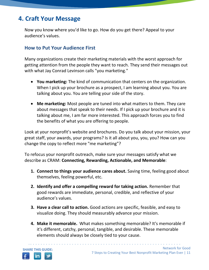# **4. Craft Your Message**

Now you know where you'd like to go. How do you get there? Appeal to your audience's values.

#### **How to Put Your Audience First**

Many organizations create their marketing materials with the worst approach for getting attention from the people they want to reach. They send their messages out with what Jay Conrad Levinson calls "you marketing."

- **You marketing:** The kind of communication that centers on the organization. When I pick up your brochure as a prospect, I am learning about you. You are talking about you. You are telling your side of the story.
- **Me marketing:** Most people are tuned into what matters to them. They care about messages that speak to their needs. If I pick up your brochure and it is talking about me, I am far more interested. This approach forces you to find the benefits of what you are offering to people.

Look at your nonprofit's website and brochures. Do you talk about your mission, your great staff, your awards, your programs? Is it all about you, you, you? How can you change the copy to reflect more "me marketing"?

To refocus your nonprofit outreach, make sure your messages satisfy what we describe as CRAM: **Connecting, Rewarding, Actionable, and Memorable**:

- **1. Connect to things your audience cares about.** Saving time, feeling good about themselves, feeling powerful, etc.
- **2. Identify and offer a compelling reward for taking action.** Remember that good rewards are immediate, personal, credible, and reflective of your audience's values.
- **3. Have a clear call to action.** Good actions are specific, feasible, and easy to visualize doing. They should measurably advance your mission.
- **4. Make it memorable.** What makes something memorable? It's memorable if it's different, catchy, personal, tangible, and desirable. These memorable elements should always be closely tied to your cause.

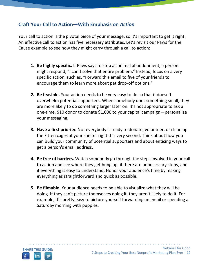#### **Craft Your Call to Action—With Emphasis on** *Action*

Your call to action is the pivotal piece of your message, so it's important to get it right. An effective call to action has five necessary attributes. Let's revisit our Paws for the Cause example to see how they might carry through a call to action:

- **1. Be highly specific.** If Paws says to stop all animal abandonment, a person might respond, "I can't solve that entire problem." Instead, focus on a very specific action, such as, "Forward this email to five of your friends to encourage them to learn more about pet drop-off options."
- **2. Be feasible.** Your action needs to be very easy to do so that it doesn't overwhelm potential supporters. When somebody does something small, they are more likely to do something larger later on. It's not appropriate to ask a one-time, \$10 donor to donate \$1,000 to your capital campaign—personalize your messaging.
- **3. Have a first priority.** Not everybody is ready to donate, volunteer, or clean up the kitten cages at your shelter right this very second. Think about how you can build your community of potential supporters and about enticing ways to get a person's email address.
- **4. Be free of barriers.** Watch somebody go through the steps involved in your call to action and see where they get hung up, if there are unnecessary steps, and if everything is easy to understand. Honor your audience's time by making everything as straightforward and quick as possible.
- **5. Be filmable.** Your audience needs to be able to visualize what they will be doing. If they can't picture themselves doing it, they aren't likely to do it. For example, it's pretty easy to picture yourself forwarding an email or spending a Saturday morning with puppies.

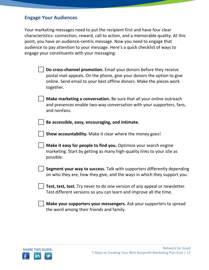#### **Engage Your Audiences**

Your marketing messages need to put the recipient first and have four clear characteristics: connection, reward, call to action, and a memorable quality. At this point, you have an audience-centric message. Now you need to engage that audience to pay attention to your message. Here's a quick checklist of ways to engage your constituents with your messaging:

- **Do cross-channel promotion.** Email your donors before they receive postal mail appeals. On the phone, give your donors the option to give online. Send email to your best offline donors. Make the pieces work together.
- **Make marketing a conversation.** Be sure that all your online outreach and presences enable two-way conversation with your supporters, fans, and nonfans.
- **Be accessible, easy, encouraging, and intimate.**
- **Show accountability.** Make it clear where the money goes!
- **Make it easy for people to find you.** Optimize your search engine marketing. Start by getting as many high-quality links to your site as possible.
- **Segment your way to success.** Talk with supporters differently depending on who they are, how they give, and the ways in which they support you.
- **Test, test, test.** Try never to do one version of any appeal or newsletter. Test different versions so you can learn and improve all the time.
- **Make your supporters your messengers.** Ask your supporters to spread the word among their friends and family.

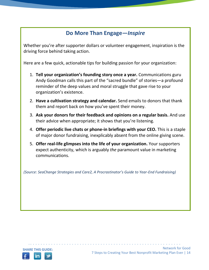## **Do More Than Engage—***Inspire*

Whether you're after supporter dollars or volunteer engagement, inspiration is the driving force behind taking action.

Here are a few quick, actionable tips for building passion for your organization:

- 1. **Tell your organization's founding story once a year.** Communications guru Andy Goodman calls this part of the "sacred bundle" of stories—a profound reminder of the deep values and moral struggle that gave rise to your organization's existence.
- 2. **Have a cultivation strategy and calendar.** Send emails to donors that thank them and report back on how you've spent their money.
- 3. **Ask your donors for their feedback and opinions on a regular basis.** And use their advice when appropriate; it shows that you're listening.
- 4. **Offer periodic live chats or phone-in briefings with your CEO.** This is a staple of major donor fundraising, inexplicably absent from the online giving scene.
- 5. **Offer real-life glimpses into the life of your organization.** Your supporters expect authenticity, which is arguably *the* paramount value in marketing communications.

*(Source: SeaChange Strategies and Care2, A Procrastinator's Guide to Year-End Fundraising)*

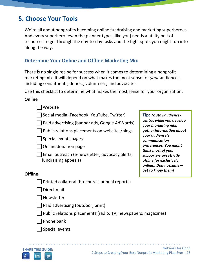# **5. Choose Your Tools**

We're all about nonprofits becoming online fundraising and marketing superheroes. And every superhero (even the planner types, like you) needs a utility belt of resources to get through the day-to-day tasks and the tight spots you might run into along the way.

#### **Determine Your Online and Offline Marketing Mix**

There is no single recipe for success when it comes to determining a nonprofit marketing mix. It will depend on what makes the most sense for *your* audiences, including constituents, donors, volunteers, and advocates.

Use this checklist to determine what makes the most sense for your organization:

#### **Online**

|  | <i><u>Nebsite</u></i> |  |
|--|-----------------------|--|
|--|-----------------------|--|

Social media (Facebook, YouTube, Twitter)

Paid advertising (banner ads, Google AdWords)

Public relations placements on websites/blogs

Special events pages

Online donation page

 Email outreach (e-newsletter, advocacy alerts, fundraising appeals)

#### **Offline**

Printed collateral (brochures, annual reports)

Direct mail

Newsletter

Paid advertising (outdoor, print)

Public relations placements (radio, TV, newspapers, magazines)

• • • • • • • • • • • • • • • • • • • • • • • • • • • • • • • • • • • • • • • • • • • • • • • • • • • • • • • • • • •

Phone bank

Special events



**Tip:** *To stay audiencecentric while you develop your marketing mix, gather information about your audience's communication preferences. You might think most of your supporters are strictly offline (or exclusively online). Don't assume get to know them!*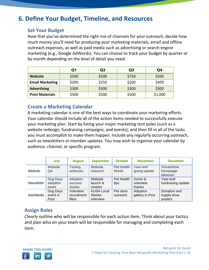# **6. Define Your Budget, Timeline, and Resources**

#### **Set Your Budget**

Now that you've determined the right mix of channels for your outreach, decide how much money you'll need for producing your marketing materials, email and offline outreach expenses, as well as paid media such as advertising or search engine marketing (e.g., Google AdWords). You can choose to track your budget by quarter or by month depending on the level of detail you need.

|                                 | Q1    | Q <sub>2</sub> | Q <sub>3</sub> | Q4      |
|---------------------------------|-------|----------------|----------------|---------|
| <b>Website</b>                  | \$500 | \$500          | \$750          | \$500   |
| <b>Email Marketing</b><br>\$200 |       | \$250          | \$200          | \$400   |
| <b>Advertising</b>              | \$300 | \$300          | \$300          | \$300   |
| \$500<br><b>Print Materials</b> |       | \$500          | \$500          | \$1,000 |

## **Create a Marketing Calendar**

A marketing calendar is one of the best ways to coordinate your marketing efforts. Your calendar should include all of the action items needed to successfully execute your marketing plan. Start by listing your major marketing tent poles (such as a website redesign, fundraising campaigns, and events), and then fill in all of the tasks you must accomplish to make them happen. Include any regularly occurring outreach, such as newsletters or member updates. You may wish to organize your calendar by audience, channel, or specific program.

|            | <b>July</b>                   | <b>August</b>                         | <b>September</b>                                 | <b>October</b>             | <b>November</b>                | <b>December</b>                          |
|------------|-------------------------------|---------------------------------------|--------------------------------------------------|----------------------------|--------------------------------|------------------------------------------|
| Website    | Website<br>QA                 | <b>Testing</b><br>w/donors            | Website<br>relaunch                              | Pet Health<br><b>Month</b> | Year-end<br>giving update      | <b>DonateNow</b><br>homepage<br>takeover |
| Newsletter | Dog Days<br>adoption<br>event | Adoption<br><b>SUCCESS</b><br>stories | Website<br>launch &<br>contest                   | Pet Health<br>tips         | Donor &<br>volunteer<br>thanks | Year-end<br>fundraising update           |
| Ads/Media  | Dog Days<br>event in<br>Post  | Volunteer<br>recruitment<br>fliers    | <b>KUSA Local</b><br><b>Stories</b><br>Interview | Pet store<br>outreach      | Adoption<br>gallery in Post    | Donation and<br>supply drive<br>posters  |

## **Assign Roles**

Clearly outline who will be responsible for each action item. Think about your tactics and plan who on your team will be responsible for managing and completing each item.

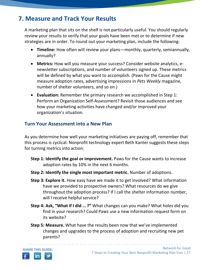# **7. Measure and Track Your Results**

A marketing plan that sits on the shelf is not particularly useful. You should regularly review your results to verify that your goals have been met or to determine if new strategies are in order. To round out your marketing plan, include the following:

- **Timeline:** How often will review your plans—monthly, quarterly, semiannually, annually?
- **Metrics:** How will you measure your success? Consider website analytics, enewsletter subscriptions, and number of volunteers signed up. These metrics will be defined by what you want to accomplish. (Paws for the Cause might measure adoption rates, advertising impressions in *Pets Weekly* magazine, number of shelter volunteers, and so on.)
- **Evaluation:** Remember the primary research we accomplished in Step 1: Perform an Organization Self-Assessment? Revisit those audiences and see how your marketing activities have changed and/or improved your organization's situation.

#### **Turn Your Assessment into a New Plan**

As you determine how well your marketing initiatives are paying off, remember that this process is cyclical. Nonprofit technology expert Beth Kanter suggests these steps for turning metrics into action:

- **Step 1: Identify the goal or improvement.** Paws for the Cause wants to increase adoption rates by 10% in the next 6 months.
- **Step 2: Identify the single most important metric.** Number of adoptions.
- **Step 3: Explore it.** How easy have we made it to get involved? What information have we provided to prospective owners? What resources do we give throughout the adoption process? If I call the shelter information number, will I receive helpful service?
- **Step 4: Ask, "What if I did … ?"** What changes can you make? What holes did you find in your research? Could Paws use a new information request form on its website?
- **Step 5: Measure.** What have the results been now that we've implemented changes and upgrades to the process of adoption and recruiting new pet parents?

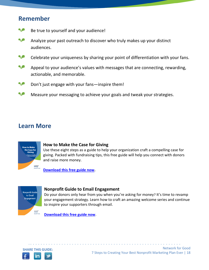## **Remember**

- SP Be true to yourself and your audience!
- SP Analyze your past outreach to discover who truly makes up your distinct audiences.
- SP Celebrate your uniqueness by sharing your point of differentiation with your fans.
- SP Appeal to your audience's values with messages that are connecting, rewarding, actionable, and memorable.
- ◥◚ Don't just engage with your fans—inspire them!
- ۹P Measure your messaging to achieve your goals and tweak your strategies.

## **Learn More**



#### **[How to Make the Case for Giving](http://learn.networkforgood.org/CaseforGivingGuide_Tips_6.20.13_Content.html)**

Use these eight steps as a guide to help your organization craft a compelling case for giving. Packed with fundraising tips, this free guide will help you connect with donors and raise more money.

**[Download this free guide now.](http://learn.networkforgood.org/CaseforGivingGuide_Tips_6.20.13_Content.html?utm_source=ebook&utm_medium=button&utm_campaign=MarketingPlan)**



#### **[Nonprofit Guide to Email Engagement](http://learn.networkforgood.org/NonprofitGuidetoEmailEngagement_Content.html)**

Do your donors only hear from you when you're asking for money? It's time to revamp your engagement strategy. Learn how to craft an amazing welcome series and continue to inspire your supporters through email.

• • • • • • • • • • • • • • • • • • • • • • • • • • • • • • • • • • • • • • • • • • • • • • • • • • • • • • • • • • •

**[Download this free guide now](http://learn.networkforgood.org/NonprofitGuidetoEmailEngagement_Content.html?utm_source=ebook&utm_medium=button&utm_campaign=MarketingPlan)**.